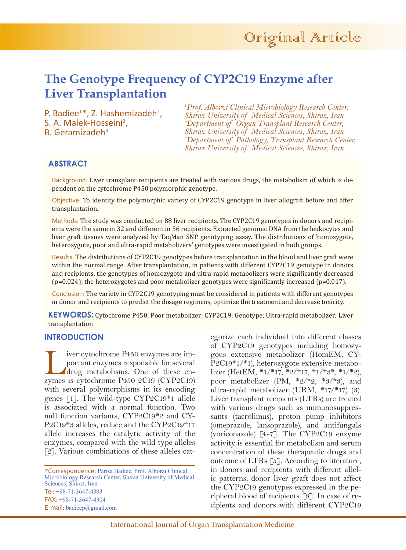# **The Genotype Frequency of CYP2C19 Enzyme after Liver Transplantation**

P. Badiee<sup>1\*</sup>, Z. Hashemizadeh<sup>2</sup>,<br>S. A. Malek-Hosseini<sup>2</sup>, S. A. Malek-Hosseini<sup>2</sup>,<br>B. Geramizadeh<sup>3</sup>

*1 Prof. Alborzi Clinical Microbiology Research Center, Shiraz University of Medical Sciences, Shiraz, Iran 2 Department of Organ Transplant Research Center, Shiraz University of Medical Sciences, Shiraz, Iran 3 Department of Pathology, Transplant Research Center, Shiraz University of Medical Sciences, Shiraz, Iran*

## **ABSTRACT**

Background: Liver transplant recipients are treated with various drugs, the metabolism of which is dependent on the cytochrome P450 polymorphic genotype.

Objective: To identify the polymorphic variety of CYP2C19 genotype in liver allograft before and after transplantation.

Methods: The study was conducted on 88 liver recipients. The CYP2C19 genotypes in donors and recipients were the same in 32 and different in 56 recipients. Extracted genomic DNA from the leukocytes and liver graft tissues were analyzed by TaqMan SNP genotyping assay. The distributions of homozygote, heterozygote, poor and ultra-rapid metabolizers' genotypes were investigated in both groups.

Results: The distributions of CYP2C19 genotypes before transplantation in the blood and liver graft were within the normal range. After transplantation, in patients with different CYP2C19 genotype in donors and recipients, the genotypes of homozygote and ultra-rapid metabolizers were significantly decreased (p=0.024); the heterozygotes and poor metabolizer genotypes were significantly increased (p=0.017).

Conclusion: The variety in CYP2C19 genotyping must be considered in patients with different genotypes in donor and recipients to predict the dosage regimens, optimize the treatment and decrease toxicity.

**KEYWORDS:** Cytochrome P450; Poor metabolizer; CYP2C19; Genotype; Ultra-rapid metabolizer; Liver transplantation

#### **INTRODUCTION**

iver cytochrome P450 enzymes are im-<br>portant enzymes responsible for several<br>drug metabolisms. One of these en-<br>zymes is cytochrome P450 2C19 (CYP2C19) portant enzymes responsible for several drug metabolisms. One of these enzymes is cytochrome P450 2C19 (CYP2C19) with several polymorphisms in its encoding genes [1]. The wild-type CYP2C19\*1 allele is associated with a normal function. Two null function variants, CYP2C19\*2 and CY-P2C19\*3 alleles, reduce and the CYP2C19\*17 allele increases the catalytic activity of the enzymes, compared with the wild type alleles [2]. Various combinations of these alleles cat-

\*Correspondence: Parisa Badiee, Prof. Alborzi Clinical Microbiology Research Center, Shiraz University of Medical Sciences, Shiraz, Iran Tel: +98-71-3647-4303 FAX: +98-71-3647-4304 E-mail: badieep@gmail.com

egorize each individual into different classes of CYP2C19 genotypes including homozygous extensive metabolizer (HomEM, CY-P2C19\*1/\*1), heterozygote extensive metabolizer (HetEM,  $*1/*17$ ,  $*2/*17$ ,  $*1/*3*, *1/*2$ ), poor metabolizer (PM,  $*2/*2, *3/*3$ ), and ultra-rapid metabolizer (URM, \*17/\*17) (3). Liver transplant recipients (LTRs) are treated with various drugs such as immunosuppressants (tacrolimus), proton pump inhibitors (omeprazole, lansoprazole), and antifungals (voriconazole) [4-7]. The CYP2C19 enzyme activity is essential for metabolism and serum concentration of these therapeutic drugs and outcome of LTRs [5]. According to literature, in donors and recipients with different allelic patterns, donor liver graft does not affect the CYP2C19 genotypes expressed in the peripheral blood of recipients [8]. In case of recipients and donors with different CYP2C19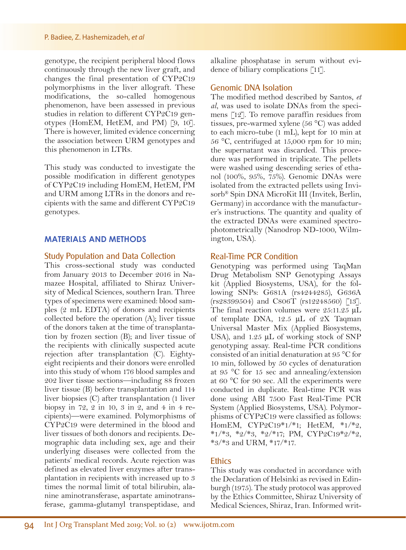genotype, the recipient peripheral blood flows continuously through the new liver graft, and changes the final presentation of CYP2C19 polymorphisms in the liver allograft. These modifications, the so-called homogenous phenomenon, have been assessed in previous studies in relation to different CYP2C19 genotypes (HomEM, HetEM, and PM) [9, 10]. There is however, limited evidence concerning the association between URM genotypes and this phenomenon in LTRs.

This study was conducted to investigate the possible modification in different genotypes of CYP2C19 including HomEM, HetEM, PM and URM among LTRs in the donors and recipients with the same and different CYP2C19 genotypes.

#### **MATERIALS AND METHODS**

#### Study Population and Data Collection

This cross-sectional study was conducted from January 2013 to December 2016 in Namazee Hospital, affiliated to Shiraz University of Medical Sciences, southern Iran. Three types of specimens were examined: blood samples (2 mL EDTA) of donors and recipients collected before the operation (A); liver tissue of the donors taken at the time of transplantation by frozen section (B); and liver tissue of the recipients with clinically suspected acute rejection after transplantation (C). Eightyeight recipients and their donors were enrolled into this study of whom 176 blood samples and 202 liver tissue sections—including 88 frozen liver tissue (B) before transplantation and 114 liver biopsies (C) after transplantation (1 liver biopsy in 72, 2 in 10, 3 in 2, and 4 in 4 recipients)—were examined. Polymorphisms of CYP2C19 were determined in the blood and liver tissues of both donors and recipients. Demographic data including sex, age and their underlying diseases were collected from the patients' medical records. Acute rejection was defined as elevated liver enzymes after transplantation in recipients with increased up to 3 times the normal limit of total bilirubin, alanine aminotransferase, aspartate aminotransferase, gamma-glutamyl transpeptidase, and

alkaline phosphatase in serum without evidence of biliary complications [11].

#### Genomic DNA Isolation

The modified method described by Santos, *et al*, was used to isolate DNAs from the specimens [12]. To remove paraffin residues from tissues, pre-warmed xylene (56 °C) was added to each micro-tube (1 mL), kept for 10 min at 56 °C, centrifuged at 15,000 rpm for 10 min; the supernatant was discarded. This procedure was performed in triplicate. The pellets were washed using descending series of ethanol (100%, 95%, 75%). Genomic DNAs were isolated from the extracted pellets using Invisorb® Spin DNA MicroKit III (Invitek, Berlin, Germany) in accordance with the manufacturer's instructions. The quantity and quality of the extracted DNAs were examined spectrophotometrically (Nanodrop ND-1000, Wilmington, USA).

#### Real-Time PCR Condition

Genotyping was performed using TaqMan Drug Metabolism SNP Genotyping Assays kit (Applied Biosystems, USA), for the following SNPs: G681A (rs4244285), G636A (rs28399504) and C806T (rs12248560) [13]. The final reaction volumes were 25:11.25 μL of template DNA, 12.5 μL of 2X Taqman Universal Master Mix (Applied Biosystems, USA), and  $1.25 \mu L$  of working stock of SNP genotyping assay. Real-time PCR conditions consisted of an initial denaturation at 95 °C for 10 min, followed by 50 cycles of denaturation at 95 °C for 15 sec and annealing/extension at 60 °C for 90 sec. All the experiments were conducted in duplicate. Real-time PCR was done using ABI 7500 Fast Real-Time PCR System (Applied Biosystems, USA). Polymorphisms of CYP2C19 were classified as follows: HomEM, CYP2C19\*1/\*1; HetEM, \*1/\*2,  $*1/*3$ ,  $*2/*3$ ,  $*2/*17$ ; PM, CYP2C19 $*2/*2$ , \*3/\*3 and URM, \*17/\*17.

## **Ethics**

This study was conducted in accordance with the Declaration of Helsinki as revised in Edinburgh (1975). The study protocol was approved by the Ethics Committee, Shiraz University of Medical Sciences, Shiraz, Iran. Informed writ-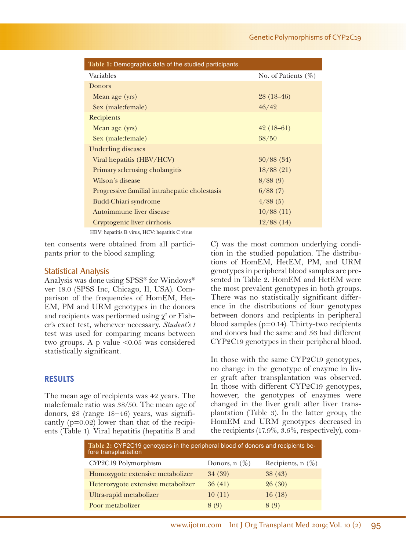| Table 1: Demographic data of the studied participants |                        |  |  |  |
|-------------------------------------------------------|------------------------|--|--|--|
| Variables                                             | No. of Patients $(\%)$ |  |  |  |
| <b>Donors</b>                                         |                        |  |  |  |
| Mean age (yrs)                                        | $28(18-46)$            |  |  |  |
| Sex (male: female)                                    | 46/42                  |  |  |  |
| Recipients                                            |                        |  |  |  |
| Mean age (yrs)                                        | $42(18-61)$            |  |  |  |
| Sex (male:female)                                     | 38/50                  |  |  |  |
| Underling diseases                                    |                        |  |  |  |
| Viral hepatitis (HBV/HCV)                             | 30/88(34)              |  |  |  |
| Primary sclerosing cholangitis                        | 18/88(21)              |  |  |  |
| Wilson's disease                                      | 8/88(9)                |  |  |  |
| Progressive familial intrahepatic cholestasis         | 6/88(7)                |  |  |  |
| <b>Budd-Chiari syndrome</b>                           | 4/88(5)                |  |  |  |
| Autoimmune liver disease                              | 10/88(11)              |  |  |  |
| Cryptogenic liver cirrhosis                           | 12/88(14)              |  |  |  |
| HBV: hepatitis B virus, HCV: hepatitis C virus        |                        |  |  |  |

ten consents were obtained from all participants prior to the blood sampling.

### Statistical Analysis

Analysis was done using SPSS® for Windows® ver 18.0 (SPSS Inc, Chicago, Il, USA). Comparison of the frequencies of HomEM, Het-EM, PM and URM genotypes in the donors and recipients was performed using  $\chi^2$  or Fisher's exact test, whenever necessary. *Student's t*  test was used for comparing means between two groups. A p value <0.05 was considered statistically significant.

## **RESULTS**

The mean age of recipients was 42 years. The male:female ratio was 38/50. The mean age of donors, 28 (range 18–46) years, was significantly (p=0.02) lower than that of the recipients (Table 1). Viral hepatitis (hepatitis B and C) was the most common underlying condition in the studied population. The distributions of HomEM, HetEM, PM, and URM genotypes in peripheral blood samples are presented in Table 2. HomEM and HetEM were the most prevalent genotypes in both groups. There was no statistically significant difference in the distributions of four genotypes between donors and recipients in peripheral blood samples  $(p=0.14)$ . Thirty-two recipients and donors had the same and 56 had different CYP2C19 genotypes in their peripheral blood.

In those with the same CYP2C19 genotypes, no change in the genotype of enzyme in liver graft after transplantation was observed. In those with different CYP2C19 genotypes, however, the genotypes of enzymes were changed in the liver graft after liver transplantation (Table 3). In the latter group, the HomEM and URM genotypes decreased in the recipients (17.9%, 3.6%, respectively), com-

| Table 2: CYP2C19 genotypes in the peripheral blood of donors and recipients be-<br>fore transplantation |                 |                     |  |  |
|---------------------------------------------------------------------------------------------------------|-----------------|---------------------|--|--|
| CYP2C19 Polymorphism                                                                                    | Donors, $n(\%)$ | Recipients, $n(\%)$ |  |  |
| Homozygote extensive metabolizer                                                                        | 34 (39)         | 38(43)              |  |  |
| Heterozygote extensive metabolizer                                                                      | 36(41)          | 26(30)              |  |  |
| Ultra-rapid metabolizer                                                                                 | 10(11)          | 16(18)              |  |  |
| Poor metabolizer                                                                                        | 8 (9)           | 8(9)                |  |  |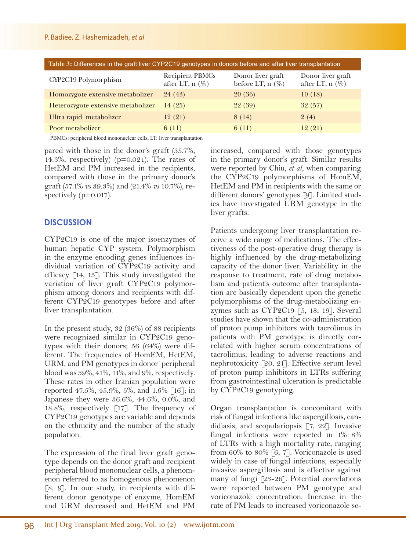| Table 3: Differences in the graft liver CYP2C19 genotypes in donors before and after liver transplantation                      |                                             |                                         |                                        |  |  |
|---------------------------------------------------------------------------------------------------------------------------------|---------------------------------------------|-----------------------------------------|----------------------------------------|--|--|
| CYP2C19 Polymorphism                                                                                                            | <b>Recipient PBMCs</b><br>after LT, $n$ (%) | Donor liver graft<br>before LT, $n$ (%) | Donor liver graft<br>after LT, $n$ (%) |  |  |
| Homozygote extensive metabolizer                                                                                                | 24(43)                                      | 20(36)                                  | 10(18)                                 |  |  |
| Heterozygote extensive metabolizer                                                                                              | 14(25)                                      | 22(39)                                  | 32(57)                                 |  |  |
| Ultra rapid metabolizer                                                                                                         | 12(21)                                      | 8 (14)                                  | 2(4)                                   |  |  |
| Poor metabolizer                                                                                                                | 6(11)                                       | 6(11)                                   | 12(21)                                 |  |  |
| $\mathbf{A}$ , and $\mathbf{A}$ , and $\mathbf{A}$ , and $\mathbf{A}$ , and $\mathbf{A}$ , and $\mathbf{A}$<br>$\sum_{i=1}^{n}$ |                                             |                                         |                                        |  |  |

PBMCs: peripheral blood mononuclear cells, LT: liver transplantation

pared with those in the donor's graft (35.7%, 14.3%, respectively) ( $p=0.024$ ). The rates of HetEM and PM increased in the recipients, compared with those in the primary donor's graft (57.1% *vs* 39.3%) and (21.4% *vs* 10.7%), respectively ( $p=0.017$ ).

## **DISCUSSION**

CYP2C19 is one of the major isoenzymes of human hepatic CYP system. Polymorphism in the enzyme encoding genes influences individual variation of CYP2C19 activity and efficacy [14, 15]. This study investigated the variation of liver graft CYP2C19 polymorphism among donors and recipients with different CYP2C19 genotypes before and after liver transplantation.

In the present study, 32 (36%) of 88 recipients were recognized similar in CYP2C19 genotypes with their donors; 56 (64%) were different. The frequencies of HomEM, HetEM, URM, and PM genotypes in donor' peripheral blood was 39%, 41%, 11%, and 9%, respectively. These rates in other Iranian population were reported 47.5%, 45.9%, 5%, and 1.6% [16]; in Japanese they were 36.6%, 44.6%, 0.0%, and 18.8%, respectively [17]. The frequency of CYP2C19 genotypes are variable and depends on the ethnicity and the number of the study population.

The expression of the final liver graft genotype depends on the donor graft and recipient peripheral blood mononuclear cells, a phenomenon referred to as homogenous phenomenon [8, 9]. In our study, in recipients with different donor genotype of enzyme, HomEM and URM decreased and HetEM and PM

increased, compared with those genotypes in the primary donor's graft. Similar results were reported by Chiu, *et al*, when comparing the CYP2C19 polymorphisms of HomEM, HetEM and PM in recipients with the same or different donors' genotypes [9]. Limited studies have investigated URM genotype in the liver grafts.

Patients undergoing liver transplantation receive a wide range of medications. The effectiveness of the post-operative drug therapy is highly influenced by the drug-metabolizing capacity of the donor liver. Variability in the response to treatment, rate of drug metabolism and patient's outcome after transplantation are basically dependent upon the genetic polymorphisms of the drug-metabolizing enzymes such as CYP2C19 [5, 18, 19]. Several studies have shown that the co-administration of proton pump inhibitors with tacrolimus in patients with PM genotype is directly correlated with higher serum concentrations of tacrolimus, leading to adverse reactions and nephrotoxicity [20, 21]. Effective serum level of proton pump inhibitors in LTRs suffering from gastrointestinal ulceration is predictable by CYP2C19 genotyping.

Organ transplantation is concomitant with risk of fungal infections like aspergillosis, candidiasis, and scopulariopsis [7, 22]. Invasive fungal infections were reported in 1%–8% of LTRs with a high mortality rate, ranging from 60% to 80% [6, 7]. Voriconazole is used widely in case of fungal infections, especially invasive aspergillosis and is effective against many of fungi [23-26]. Potential correlations were reported between PM genotype and voriconazole concentration. Increase in the rate of PM leads to increased voriconazole se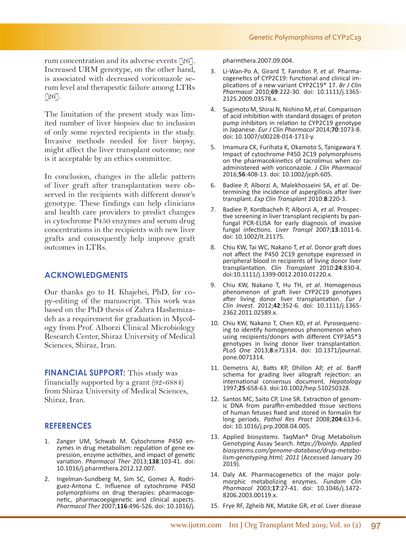rum concentration and its adverse events [26]. Increased URM genotype, on the other hand, is associated with decreased voriconazole serum level and therapeutic failure among LTRs [26].

The limitation of the present study was limited number of liver biopsies due to inclusion of only some rejected recipients in the study. Invasive methods needed for liver biopsy, might affect the liver transplant outcome; nor is it acceptable by an ethics committee.

In conclusion, changes in the allelic pattern of liver graft after transplantation were observed in the recipients with different donor's genotype. These findings can help clinicians and health care providers to predict changes in cytochrome P450 enzymes and serum drug concentrations in the recipients with new liver grafts and consequently help improve graft outcomes in LTRs.

## **ACKNOWLEDGMENTS**

Our thanks go to H. Khajehei, PhD, for copy-editing of the manuscript. This work was based on the PhD thesis of Zahra Hashemizadeh as a requirement for graduation in Mycology from Prof. Alborzi Clinical Microbiology Research Center, Shiraz University of Medical Sciences, Shiraz, Iran.

**FINANCIAL SUPPORT:** This study was financially supported by a grant (92-6884) from Shiraz University of Medical Sciences, Shiraz, Iran.

## **REFERENCES**

- 1. Zanger UM, Schwab M. Cytochrome P450 en- zymes in drug metabolism: regulation of gene ex- pression, enzyme activities, and impact of genetic variation. *Pharmacol Ther* 2013;**138**:103-41. doi: 10.1016/j.pharmthera.2012.12.007.
- 2. Ingelman-Sundberg M, Sim SC, Gomez A, Rodriguez-Antona C. Influence of cytochrome P450 polymorphisms on drug therapies: pharmacogenetic, pharmacoepigenetic and clinical aspects. *Pharmacol Ther* 2007;**116**:496-526. doi: 10.1016/j.

pharmthera.2007.09.004.

- 3. Li-Wan-Po A, Girard T, Farndon P, *et al*. Pharmacogenetics of CYP2C19: functional and clinical implications of a new variant CYP2C19\* 17. *Br J Clin Pharmacol* 2010;**69**:222-30. doi: 10.1111/j.1365- 2125.2009.03578.x.
- 4. Sugimoto M, Shirai N, Nishino M, *et al*. Comparison of acid inhibition with standard dosages of proton pump inhibitors in relation to CYP2C19 genotype in Japanese. *Eur J Clin Pharmacol* 2014;**70**:1073-8. doi: 10.1007/s00228-014-1713-y.
- 5. Imamura CK, Furihata K, Okamoto S, Tanigawara Y. Impact of cytochrome P450 2C19 polymorphisms administered with voriconazole. *J Clin Pharmacol* 2016;**56**:408-13. doi: 10.1002/jcph.605.
- 6. Badiee P, Alborzi A, Malekhosseini SA, *et al*. Determining the incidence of aspergillosis after liver transplant. *Exp Clin Transplant* 2010:**8**:220-3.
- 7. Badiee P, Kordbacheh P, Alborzi A, *et al*. Prospective screening in liver transplant recipients by panfungal PCR-ELISA for early diagnosis of invasive fungal infections. *Liver Transpl* 2007;**13**:1011-6. doi: 10.1002/lt.21175.
- 8. Chiu KW, Tai WC, Nakano T, *et al*. Donor graft does not affect the P450 2C19 genotype expressed in peripheral blood in recipients of living donor liver transplantation. *Clin Transplant* 2010:**24**:830-4. doi:10.1111/j.1399-0012.2010.01220.x.
- 9. Chiu KW, Nakano T, Hu TH, *et al*. Homogenous phenomenon of graft liver CYP2C19 genotypes after living donor liver transplantation. *Eur J Clin Invest*. 2012;**42**:352-6. doi: 10.1111/j.1365- 2362.2011.02589.x.
- 10. Chiu KW, Nakano T, Chen KD, *et al*. Pyrosequenc- ing to identify homogeneous phenomenon when using recipients/donors with different CYP3A5\*3 genotypes in living donor liver transplantation. *PLoS One* 2013;**8**:e71314. doi: 10.1371/journal. pone.0071314.
- 11. Demetris AJ, Batts KP, Dhillon AP, *et al*. Banff schema for grading liver allograft rejection: an international consensus document. *Hepatology* 1997;**25**:658-63. doi:10.1002/hep.510250328.
- 12. Santos MC, Saito CP, Line SR. Extraction of genomic DNA from paraffin-embedded tissue sections of human fetuses fixed and stored in formalin for long periods. *Pathol Res Pract* 2008;**204**:633-6. doi: 10.1016/j.prp.2008.04.005.
- 13. Applied biosystems. TaqMan® Drug Metabolism Genotyping Assay Search. *https://bioinfo. Applied biosystems.com/genome-database/drug-metabolism-genotyping.html; 2011* (Accessed January 20 2019).
- 14. Daly AK. Pharmacogenetics of the major polymorphic metabolizing enzymes. *Fundam Clin Pharmacol* 2003;**17**:27-41. doi: 10.1046/j.1472- 8206.2003.00119.x.
- 15. Frye RF, Zgheib NK, Matzke GR, *et al*. Liver disease